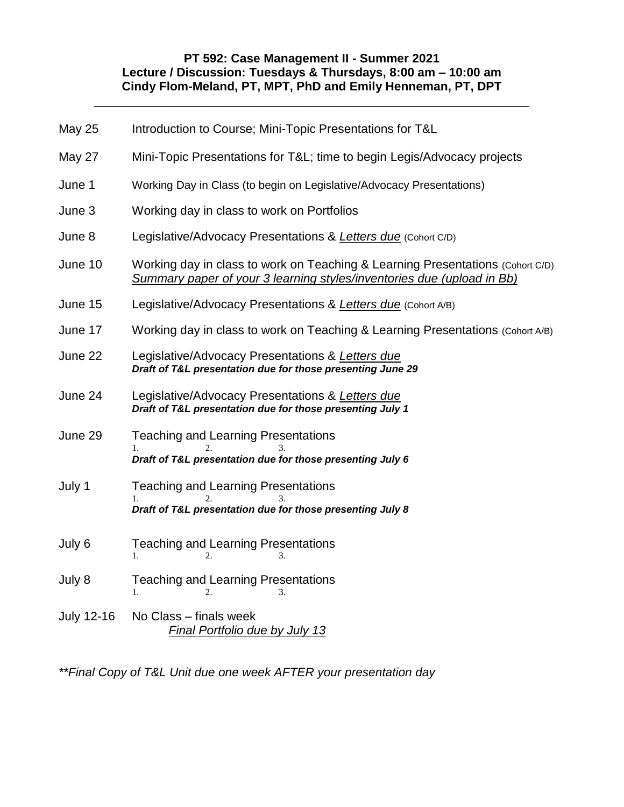# **PT 592: Case Management II - Summer 2021 Lecture / Discussion: Tuesdays & Thursdays, 8:00 am – 10:00 am Cindy Flom-Meland, PT, MPT, PhD and Emily Henneman, PT, DPT**

\_\_\_\_\_\_\_\_\_\_\_\_\_\_\_\_\_\_\_\_\_\_\_\_\_\_\_\_\_\_\_\_\_\_\_\_\_\_\_\_\_\_\_\_\_\_\_\_\_\_\_\_\_\_\_\_\_\_\_\_\_\_\_\_

| <b>May 25</b> | Introduction to Course; Mini-Topic Presentations for T&L                                                                                                 |  |  |
|---------------|----------------------------------------------------------------------------------------------------------------------------------------------------------|--|--|
| May 27        | Mini-Topic Presentations for T&L time to begin Legis/Advocacy projects                                                                                   |  |  |
| June 1        | Working Day in Class (to begin on Legislative/Advocacy Presentations)                                                                                    |  |  |
| June 3        | Working day in class to work on Portfolios                                                                                                               |  |  |
| June 8        | Legislative/Advocacy Presentations & Letters due (Cohort C/D)                                                                                            |  |  |
| June 10       | Working day in class to work on Teaching & Learning Presentations (Cohort C/D)<br>Summary paper of your 3 learning styles/inventories due (upload in Bb) |  |  |
| June 15       | Legislative/Advocacy Presentations & Letters due (Cohort A/B)                                                                                            |  |  |
| June 17       | Working day in class to work on Teaching & Learning Presentations (Cohort A/B)                                                                           |  |  |
| June 22       | Legislative/Advocacy Presentations & Letters due<br>Draft of T&L presentation due for those presenting June 29                                           |  |  |
| June 24       | Legislative/Advocacy Presentations & Letters due<br>Draft of T&L presentation due for those presenting July 1                                            |  |  |
| June 29       | <b>Teaching and Learning Presentations</b><br>Draft of T&L presentation due for those presenting July 6                                                  |  |  |
| July 1        | <b>Teaching and Learning Presentations</b><br>1.<br>3.<br>Draft of T&L presentation due for those presenting July 8                                      |  |  |
| July 6        | <b>Teaching and Learning Presentations</b><br>$\mathbf{1}$ .<br>3.<br>2.                                                                                 |  |  |
| July 8        | <b>Teaching and Learning Presentations</b><br>$\mathbf{1}$ .<br>2.<br>3.                                                                                 |  |  |
| July 12-16    | No Class - finals week<br><b>Final Portfolio due by July 13</b>                                                                                          |  |  |

*\*\*Final Copy of T&L Unit due one week AFTER your presentation day*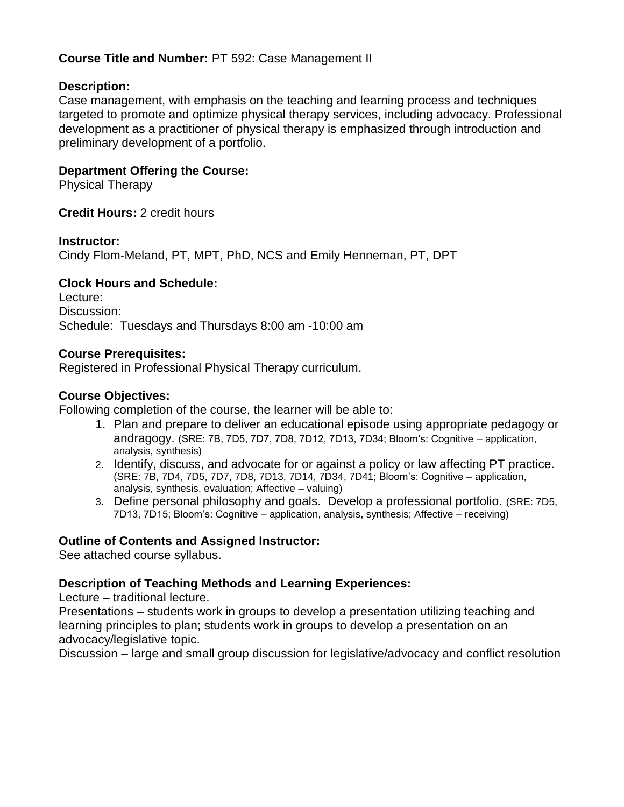# **Course Title and Number:** PT 592: Case Management II

# **Description:**

Case management, with emphasis on the teaching and learning process and techniques targeted to promote and optimize physical therapy services, including advocacy. Professional development as a practitioner of physical therapy is emphasized through introduction and preliminary development of a portfolio.

# **Department Offering the Course:**

Physical Therapy

**Credit Hours:** 2 credit hours

### **Instructor:**

Cindy Flom-Meland, PT, MPT, PhD, NCS and Emily Henneman, PT, DPT

# **Clock Hours and Schedule:**

Lecture: Discussion: Schedule: Tuesdays and Thursdays 8:00 am -10:00 am

# **Course Prerequisites:**

Registered in Professional Physical Therapy curriculum.

# **Course Objectives:**

Following completion of the course, the learner will be able to:

- 1. Plan and prepare to deliver an educational episode using appropriate pedagogy or andragogy. (SRE: 7B, 7D5, 7D7, 7D8, 7D12, 7D13, 7D34; Bloom's: Cognitive – application, analysis, synthesis)
- 2. Identify, discuss, and advocate for or against a policy or law affecting PT practice. (SRE: 7B, 7D4, 7D5, 7D7, 7D8, 7D13, 7D14, 7D34, 7D41; Bloom's: Cognitive – application, analysis, synthesis, evaluation; Affective – valuing)
- 3. Define personal philosophy and goals. Develop a professional portfolio. (SRE: 7D5, 7D13, 7D15; Bloom's: Cognitive – application, analysis, synthesis; Affective – receiving)

# **Outline of Contents and Assigned Instructor:**

See attached course syllabus.

# **Description of Teaching Methods and Learning Experiences:**

Lecture – traditional lecture.

Presentations – students work in groups to develop a presentation utilizing teaching and learning principles to plan; students work in groups to develop a presentation on an advocacy/legislative topic.

Discussion – large and small group discussion for legislative/advocacy and conflict resolution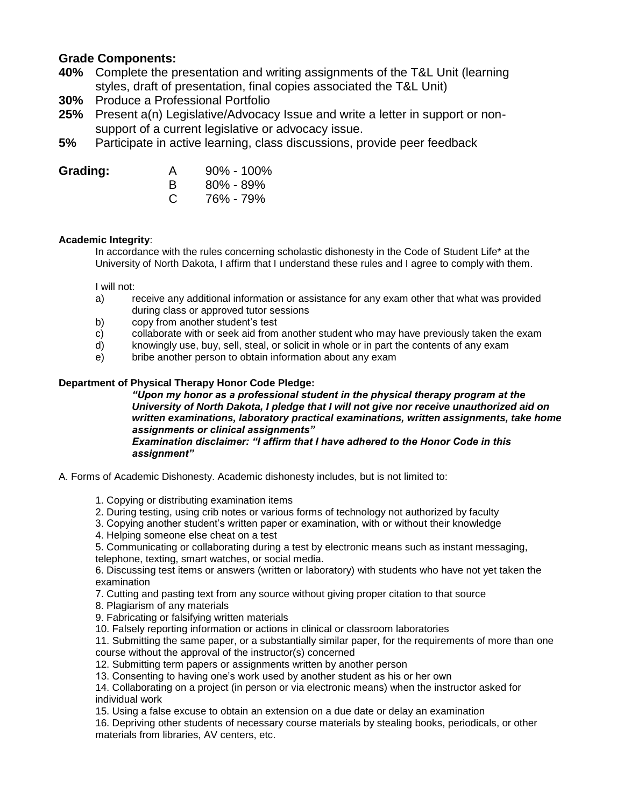### **Grade Components:**

- **40%** Complete the presentation and writing assignments of the T&L Unit (learning styles, draft of presentation, final copies associated the T&L Unit)
- **30%** Produce a Professional Portfolio
- **25%** Present a(n) Legislative/Advocacy Issue and write a letter in support or nonsupport of a current legislative or advocacy issue.
- **5%** Participate in active learning, class discussions, provide peer feedback

| Grading: | A  | $90\% - 100\%$ |
|----------|----|----------------|
|          |    | $80\% - 89\%$  |
|          | C. | 76% - 79%      |

### **Academic Integrity**:

In accordance with the rules concerning scholastic dishonesty in the Code of Student Life\* at the University of North Dakota, I affirm that I understand these rules and I agree to comply with them.

I will not:

- a) receive any additional information or assistance for any exam other that what was provided during class or approved tutor sessions
- b) copy from another student's test
- c) collaborate with or seek aid from another student who may have previously taken the exam
- d) knowingly use, buy, sell, steal, or solicit in whole or in part the contents of any exam
- e) bribe another person to obtain information about any exam

### **Department of Physical Therapy Honor Code Pledge:**

*"Upon my honor as a professional student in the physical therapy program at the University of North Dakota, I pledge that I will not give nor receive unauthorized aid on written examinations, laboratory practical examinations, written assignments, take home assignments or clinical assignments" Examination disclaimer: "I affirm that I have adhered to the Honor Code in this assignment"* 

A. Forms of Academic Dishonesty. Academic dishonesty includes, but is not limited to:

1. Copying or distributing examination items

- 2. During testing, using crib notes or various forms of technology not authorized by faculty
- 3. Copying another student's written paper or examination, with or without their knowledge
- 4. Helping someone else cheat on a test
- 5. Communicating or collaborating during a test by electronic means such as instant messaging, telephone, texting, smart watches, or social media.

6. Discussing test items or answers (written or laboratory) with students who have not yet taken the examination

- 7. Cutting and pasting text from any source without giving proper citation to that source
- 8. Plagiarism of any materials
- 9. Fabricating or falsifying written materials
- 10. Falsely reporting information or actions in clinical or classroom laboratories
- 11. Submitting the same paper, or a substantially similar paper, for the requirements of more than one course without the approval of the instructor(s) concerned
- 12. Submitting term papers or assignments written by another person
- 13. Consenting to having one's work used by another student as his or her own

14. Collaborating on a project (in person or via electronic means) when the instructor asked for individual work

15. Using a false excuse to obtain an extension on a due date or delay an examination

16. Depriving other students of necessary course materials by stealing books, periodicals, or other materials from libraries, AV centers, etc.